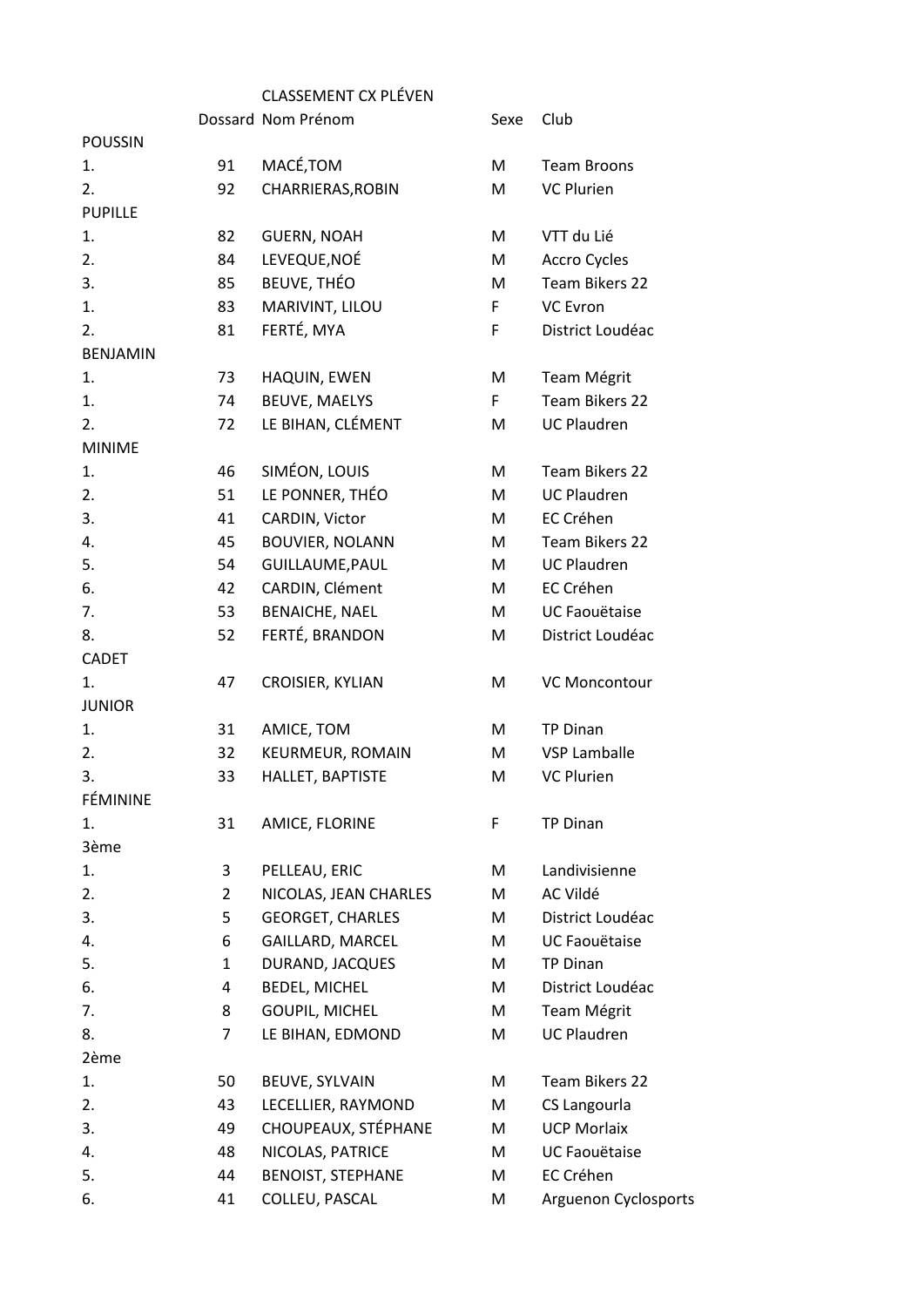## CLASSEMENT CX PLÉVEN

|                 |                | Dossard Nom Prénom       | Sexe | Club                 |
|-----------------|----------------|--------------------------|------|----------------------|
| <b>POUSSIN</b>  |                |                          |      |                      |
| 1.              | 91             | MACÉ, TOM                | M    | <b>Team Broons</b>   |
| 2.              | 92             | CHARRIERAS, ROBIN        | M    | <b>VC Plurien</b>    |
| <b>PUPILLE</b>  |                |                          |      |                      |
| 1.              | 82             | <b>GUERN, NOAH</b>       | M    | VTT du Lié           |
| 2.              | 84             | LEVEQUE, NOÉ             | M    | Accro Cycles         |
| 3.              | 85             | <b>BEUVE, THÉO</b>       | М    | Team Bikers 22       |
| 1.              | 83             | MARIVINT, LILOU          | F.   | <b>VC Evron</b>      |
| 2.              | 81             | FERTÉ, MYA               | F    | District Loudéac     |
| <b>BENJAMIN</b> |                |                          |      |                      |
| 1.              | 73             | HAQUIN, EWEN             | M    | Team Mégrit          |
| 1.              | 74             | <b>BEUVE, MAELYS</b>     | F.   | Team Bikers 22       |
| 2.              | 72             | LE BIHAN, CLÉMENT        | M    | <b>UC Plaudren</b>   |
| <b>MINIME</b>   |                |                          |      |                      |
| 1.              | 46             | SIMÉON, LOUIS            | M    | Team Bikers 22       |
| 2.              | 51             | LE PONNER, THÉO          | M    | <b>UC Plaudren</b>   |
| 3.              | 41             | CARDIN, Victor           | M    | EC Créhen            |
| 4.              | 45             | <b>BOUVIER, NOLANN</b>   | M    | Team Bikers 22       |
| 5.              | 54             | GUILLAUME, PAUL          | M    | <b>UC Plaudren</b>   |
| 6.              | 42             | CARDIN, Clément          | M    | EC Créhen            |
| 7.              | 53             | <b>BENAICHE, NAEL</b>    | M    | UC Faouëtaise        |
| 8.              | 52             | FERTÉ, BRANDON           | M    | District Loudéac     |
| <b>CADET</b>    |                |                          |      |                      |
| 1.              | 47             | CROISIER, KYLIAN         | M    | VC Moncontour        |
| <b>JUNIOR</b>   |                |                          |      |                      |
| 1.              | 31             | AMICE, TOM               | M    | <b>TP Dinan</b>      |
| 2.              | 32             | KEURMEUR, ROMAIN         | M    | <b>VSP Lamballe</b>  |
| 3.              | 33             | HALLET, BAPTISTE         | M    | <b>VC Plurien</b>    |
| FÉMININE        |                |                          |      |                      |
| 1.              | 31             | AMICE, FLORINE           | F    | <b>TP Dinan</b>      |
| 3ème            |                |                          |      |                      |
| 1.              | 3              | PELLEAU, ERIC            | M    | Landivisienne        |
| 2.              | $\overline{2}$ | NICOLAS, JEAN CHARLES    | M    | AC Vildé             |
| 3.              | 5              | <b>GEORGET, CHARLES</b>  | М    | District Loudéac     |
| 4.              | 6              | GAILLARD, MARCEL         | М    | <b>UC Faouëtaise</b> |
| 5.              | $\mathbf{1}$   | DURAND, JACQUES          | M    | <b>TP Dinan</b>      |
| 6.              | 4              | <b>BEDEL, MICHEL</b>     | М    | District Loudéac     |
| 7.              | 8              | GOUPIL, MICHEL           | M    | Team Mégrit          |
| 8.              | 7              | LE BIHAN, EDMOND         | M    | <b>UC Plaudren</b>   |
| 2ème            |                |                          |      |                      |
| 1.              | 50             | BEUVE, SYLVAIN           | M    | Team Bikers 22       |
| 2.              | 43             | LECELLIER, RAYMOND       | M    | CS Langourla         |
| 3.              | 49             | CHOUPEAUX, STÉPHANE      | M    | <b>UCP Morlaix</b>   |
| 4.              | 48             | NICOLAS, PATRICE         | М    | UC Faouëtaise        |
| 5.              | 44             | <b>BENOIST, STEPHANE</b> | М    | EC Créhen            |
| 6.              | 41             | COLLEU, PASCAL           | M    | Arguenon Cyclosports |